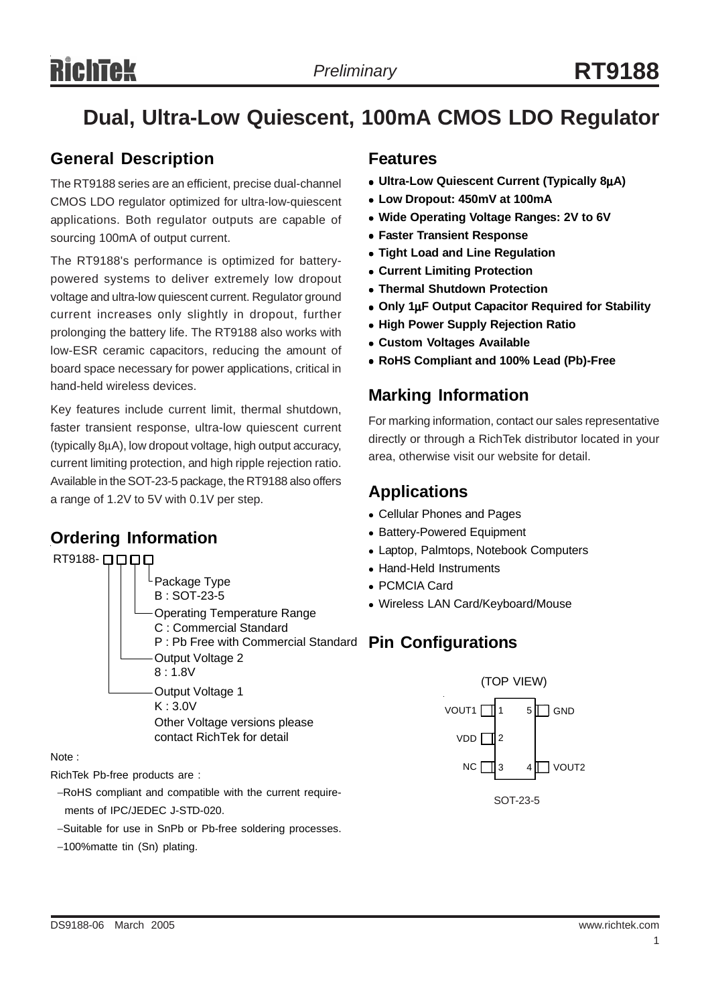# **Dual, Ultra-Low Quiescent, 100mA CMOS LDO Regulator**

### **General Description**

The RT9188 series are an efficient, precise dual-channel CMOS LDO regulator optimized for ultra-low-quiescent applications. Both regulator outputs are capable of sourcing 100mA of output current.

The RT9188's performance is optimized for batterypowered systems to deliver extremely low dropout voltage and ultra-low quiescent current. Regulator ground current increases only slightly in dropout, further prolonging the battery life. The RT9188 also works with low-ESR ceramic capacitors, reducing the amount of board space necessary for power applications, critical in hand-held wireless devices.

Key features include current limit, thermal shutdown, faster transient response, ultra-low quiescent current (typically 8µA), low dropout voltage, high output accuracy, current limiting protection, and high ripple rejection ratio. Available in the SOT-23-5 package, the RT9188 also offers a range of 1.2V to 5V with 0.1V per step.

### **Ordering Information**



Note :

RichTek Pb-free products are :

- −RoHS compliant and compatible with the current require ments of IPC/JEDEC J-STD-020.
- −Suitable for use in SnPb or Pb-free soldering processes.
- −100%matte tin (Sn) plating.

### **Features**

- <sup>z</sup> **Ultra-Low Quiescent Current (Typically 8**µ**A)**
- <sup>z</sup> **Low Dropout: 450mV at 100mA**
- Wide Operating Voltage Ranges: 2V to 6V
- **Faster Transient Response**
- **Tight Load and Line Regulation**
- **Current Limiting Protection**
- **Thermal Shutdown Protection**
- <sup>z</sup> **Only 1**µ**F Output Capacitor Required for Stability**
- **High Power Supply Rejection Ratio**
- **Custom Voltages Available**
- <sup>z</sup> **RoHS Compliant and 100% Lead (Pb)-Free**

### **Marking Information**

For marking information, contact our sales representative directly or through a RichTek distributor located in your area, otherwise visit our website for detail.

### **Applications**

- Cellular Phones and Pages
- Battery-Powered Equipment
- Laptop, Palmtops, Notebook Computers
- Hand-Held Instruments
- PCMCIA Card
- Wireless LAN Card/Keyboard/Mouse

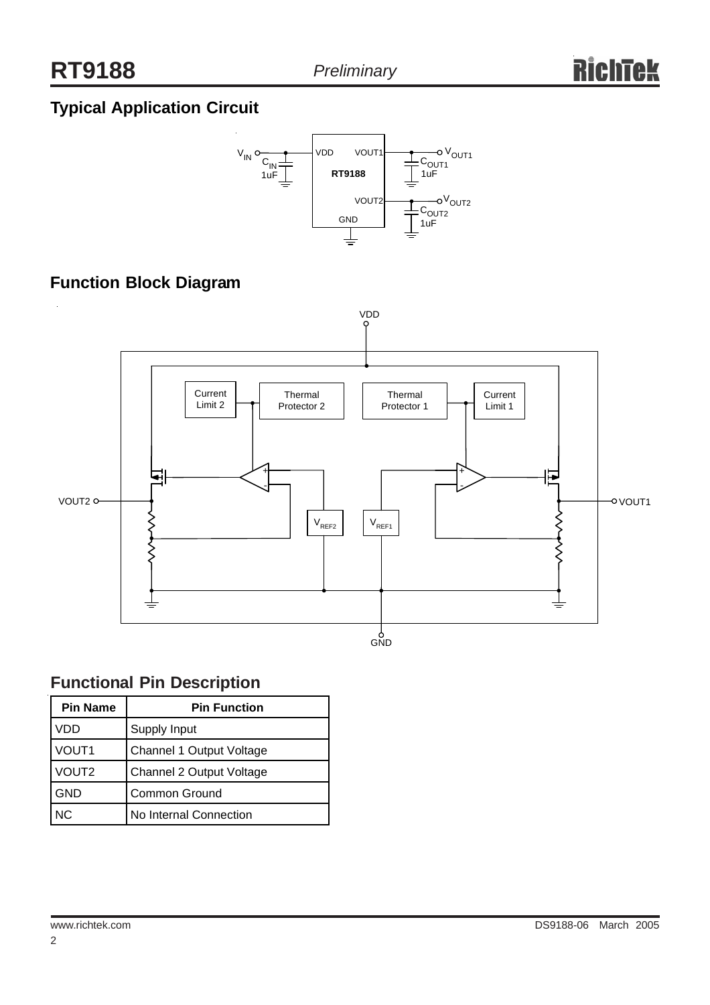## **Typical Application Circuit**



### **Function Block Diagram**



### **Functional Pin Description**

| <b>Pin Name</b>   | <b>Pin Function</b>      |  |  |
|-------------------|--------------------------|--|--|
| VDD               | Supply Input             |  |  |
| VOUT <sub>1</sub> | Channel 1 Output Voltage |  |  |
| VOUT <sub>2</sub> | Channel 2 Output Voltage |  |  |
| <b>GND</b>        | <b>Common Ground</b>     |  |  |
| N <sub>C</sub>    | No Internal Connection   |  |  |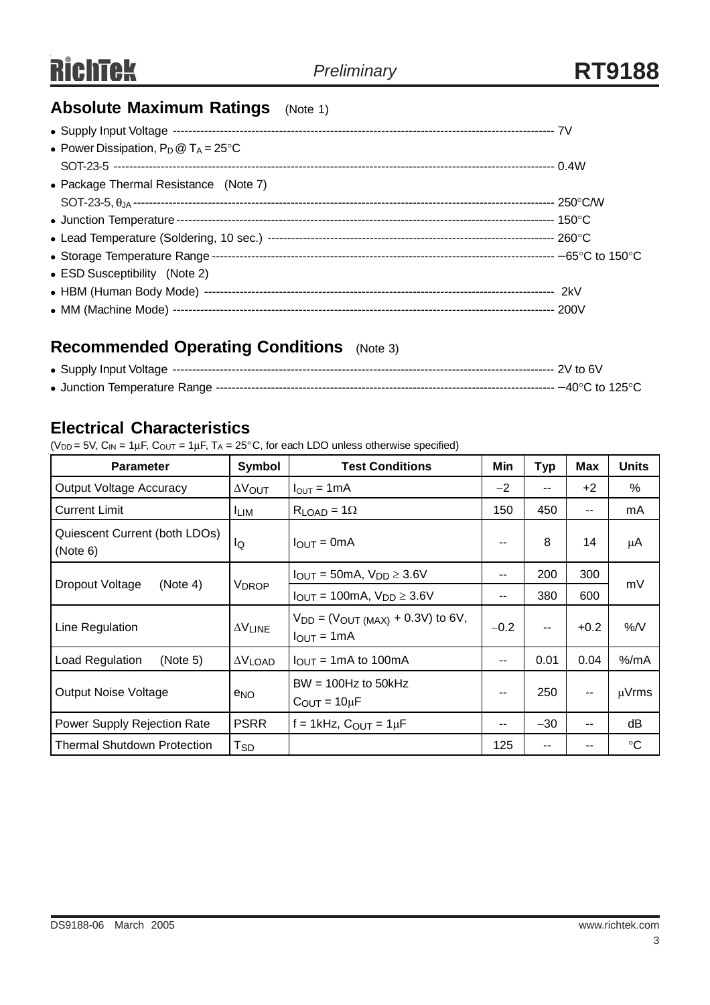### **Absolute Maximum Ratings** (Note 1)

| • Power Dissipation, $P_D @ T_A = 25^{\circ}C$ |  |
|------------------------------------------------|--|
|                                                |  |
| • Package Thermal Resistance (Note 7)          |  |
|                                                |  |
|                                                |  |
|                                                |  |
|                                                |  |
| • ESD Susceptibility (Note 2)                  |  |
|                                                |  |
|                                                |  |

### **Recommended Operating Conditions** (Note 3)

### **Electrical Characteristics**

( $V_{DD}$  = 5V,  $C_{IN}$  = 1 $\mu$ F,  $C_{OUT}$  = 1 $\mu$ F, T<sub>A</sub> = 25°C, for each LDO unless otherwise specified)

| <b>Parameter</b>                          | <b>Symbol</b>               | <b>Test Conditions</b>                                               | Min    | <b>Typ</b> | Max                      | <b>Units</b>    |
|-------------------------------------------|-----------------------------|----------------------------------------------------------------------|--------|------------|--------------------------|-----------------|
| <b>Output Voltage Accuracy</b>            | $\Delta V_{\text{OUT}}$     | $I_{\text{OUT}} = 1 \text{mA}$                                       | $-2$   |            | $+2$                     | %               |
| <b>Current Limit</b>                      | <sup>I</sup> LIM            | $R_{LOAD} = 1\Omega$                                                 | 150    | 450        | $\sim$ $\sim$            | mA              |
| Quiescent Current (both LDOs)<br>(Note 6) | lQ                          | $I_{\text{OUT}} = 0 \text{mA}$                                       | --     | 8          | 14                       | μA              |
| Dropout Voltage<br>(Note 4)               | V <sub>DROP</sub>           | $I_{\text{OUT}} = 50 \text{mA}$ , $V_{\text{DD}} \geq 3.6 \text{V}$  | --     | 200        | 300                      | mV              |
|                                           |                             | $I_{\text{OUT}} = 100 \text{mA}$ , $V_{\text{DD}} \geq 3.6 \text{V}$ | --     | 380        | 600                      |                 |
| Line Regulation                           | $\Delta \rm{V}_{\rm{LINE}}$ | $V_{DD} = (V_{OUT (MAX)} + 0.3V)$ to 6V,<br>$I_{OUT} = 1mA$          | $-0.2$ | --         | $+0.2$                   | %N              |
| <b>Load Regulation</b><br>(Note 5)        | $\Delta V$ LOAD             | $I_{\text{OUT}} = 1 \text{mA}$ to 100 mA                             | --     | 0.01       | 0.04                     | $%$ /mA         |
| <b>Output Noise Voltage</b>               | e <sub>NO</sub>             | $BW = 100Hz$ to 50kHz<br>$C_{\text{OUT}} = 10 \mu F$                 | --     | 250        | $\overline{\phantom{m}}$ | $\mu$ Vrms      |
| <b>Power Supply Rejection Rate</b>        | <b>PSRR</b>                 | f = 1kHz, $C_{OUT}$ = 1 $\mu$ F                                      | --     | $-30$      | $- -$                    | dB              |
| <b>Thermal Shutdown Protection</b>        | Tsp                         |                                                                      | 125    |            |                          | $\rm ^{\circ}C$ |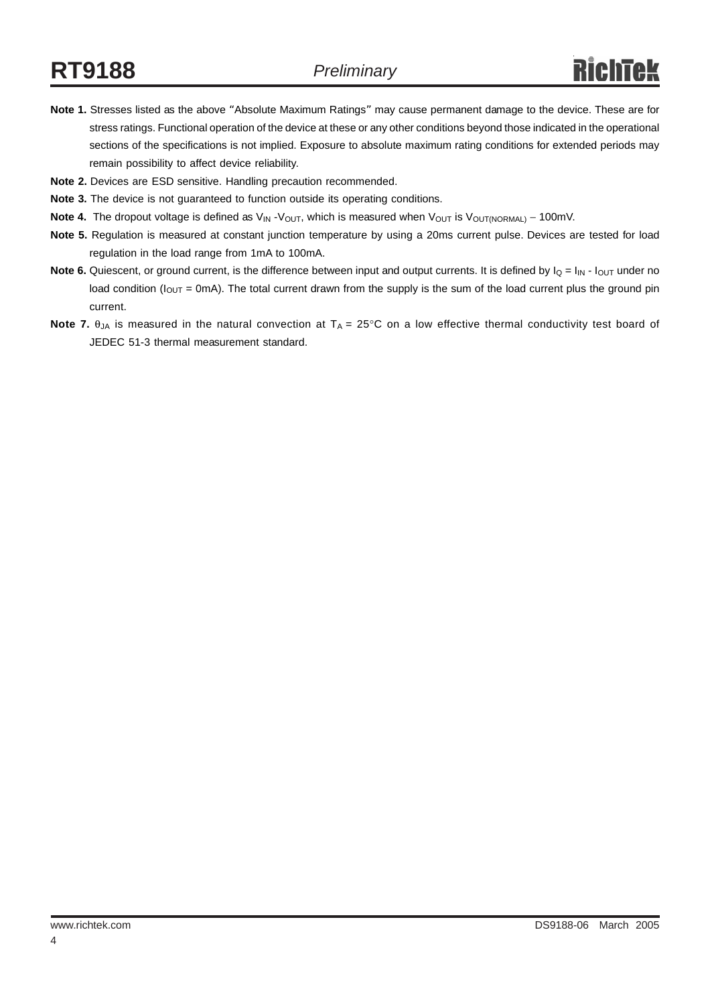- **Note 1.** Stresses listed as the above "Absolute Maximum Ratings" may cause permanent damage to the device. These are for stress ratings. Functional operation of the device at these or any other conditions beyond those indicated in the operational sections of the specifications is not implied. Exposure to absolute maximum rating conditions for extended periods may remain possibility to affect device reliability.
- **Note 2.** Devices are ESD sensitive. Handling precaution recommended.
- **Note 3.** The device is not guaranteed to function outside its operating conditions.
- Note 4. The dropout voltage is defined as V<sub>IN</sub> -V<sub>OUT</sub>, which is measured when V<sub>OUT</sub> is V<sub>OUT(NORMAL)</sub> − 100mV.
- **Note 5.** Regulation is measured at constant junction temperature by using a 20ms current pulse. Devices are tested for load regulation in the load range from 1mA to 100mA.
- **Note 6.** Quiescent, or ground current, is the difference between input and output currents. It is defined by  $I_Q = I_{IN} I_{OUT}$  under no load condition ( $I_{OUT}$  = 0mA). The total current drawn from the supply is the sum of the load current plus the ground pin current.
- **Note 7.**  $\theta_{JA}$  is measured in the natural convection at  $T_A = 25^\circ \text{C}$  on a low effective thermal conductivity test board of JEDEC 51-3 thermal measurement standard.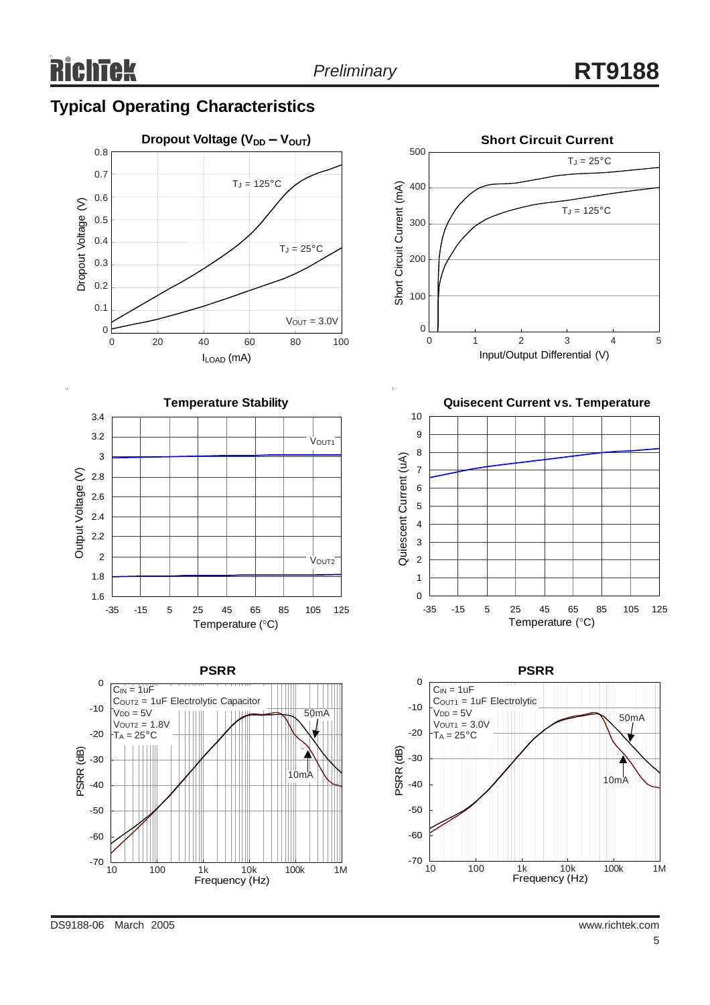### **Typical Operating Characteristics**





**PSRR**

50mA

10mA

COUT2 = 1uF Electrolytic Capacitor

Frequency (Hz)

10 100 1k 10k 100k 1M

**Short Circuit Current** 500  $T_J = 25^{\circ}C$ Short Circuit Current (mA) 400 Short Circuit Current (mA)  $T_J = 125$ °C 300 200 100  $0\frac{1}{0}$ 0 1 2 3 4 5 Input/Output Differential (V)

**Quisecent Current vs. Temperature**





DS9188-06 March 2005 www.richtek.com

-70

-60

-50

-40

-30

PSRR (dB)

-20

-10

0

 $C_{IN} = 1uF$ 

 $V<sub>DD</sub> = 5V$  $V_{\text{OUT2}} = 1.8V$  $T_A = 25^{\circ}$ C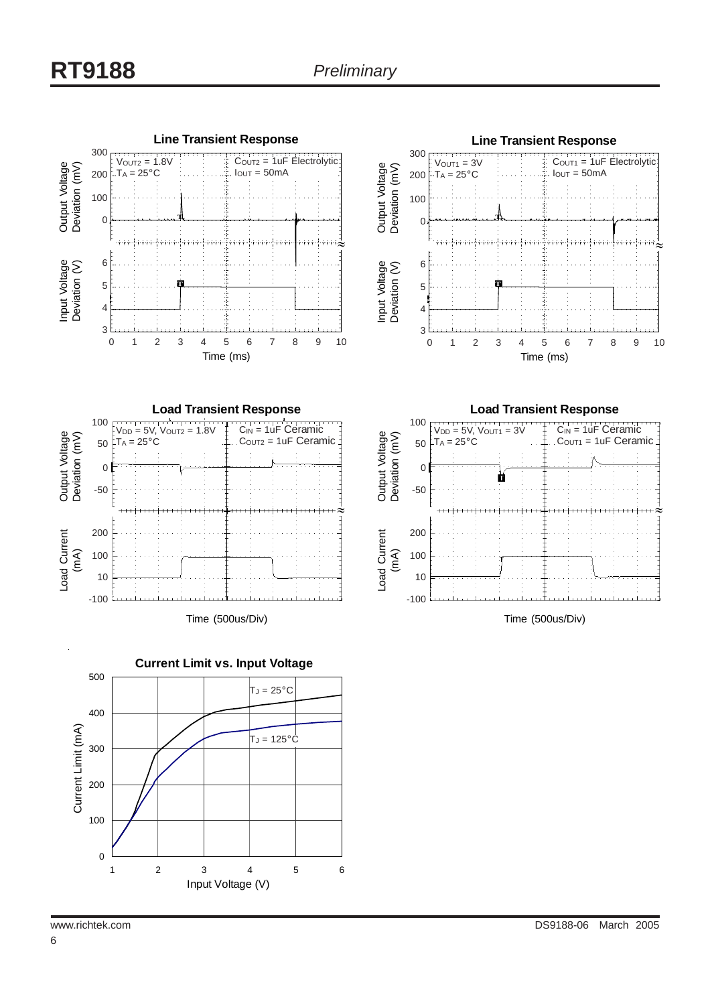







**Load Transient Response**



Time (500us/Div)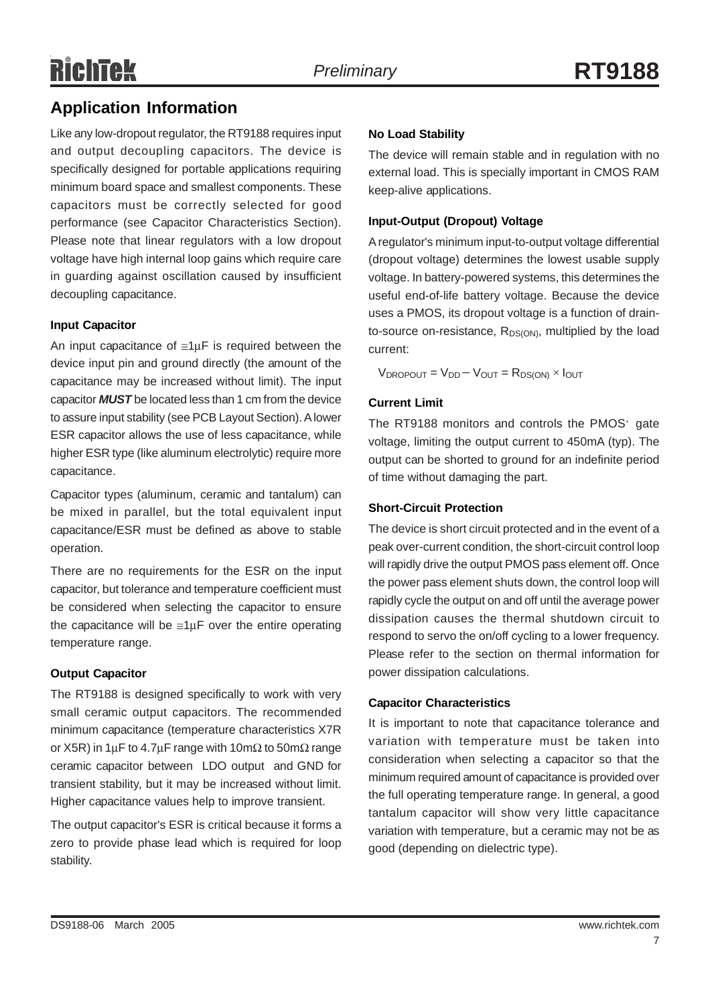### **Application Information**

Like any low-dropout regulator, the RT9188 requires input and output decoupling capacitors. The device is specifically designed for portable applications requiring minimum board space and smallest components. These capacitors must be correctly selected for good performance (see Capacitor Characteristics Section). Please note that linear regulators with a low dropout voltage have high internal loop gains which require care in guarding against oscillation caused by insufficient decoupling capacitance.

#### **Input Capacitor**

An input capacitance of  $\leq 1 \mu$ F is required between the device input pin and ground directly (the amount of the capacitance may be increased without limit). The input capacitor *MUST* be located less than 1 cm from the device to assure input stability (see PCB Layout Section). A lower ESR capacitor allows the use of less capacitance, while higher ESR type (like aluminum electrolytic) require more capacitance.

Capacitor types (aluminum, ceramic and tantalum) can be mixed in parallel, but the total equivalent input capacitance/ESR must be defined as above to stable operation.

There are no requirements for the ESR on the input capacitor, but tolerance and temperature coefficient must be considered when selecting the capacitor to ensure the capacitance will be  $\leq 1 \mu$ F over the entire operating temperature range.

#### **Output Capacitor**

The RT9188 is designed specifically to work with very small ceramic output capacitors. The recommended minimum capacitance (temperature characteristics X7R or X5R) in 1µF to 4.7µF range with 10m $\Omega$  to 50m $\Omega$  range ceramic capacitor between LDO output and GND for transient stability, but it may be increased without limit. Higher capacitance values help to improve transient.

The output capacitor's ESR is critical because it forms a zero to provide phase lead which is required for loop stability.

#### **No Load Stability**

The device will remain stable and in regulation with no external load. This is specially important in CMOS RAM keep-alive applications.

#### **Input-Output (Dropout) Voltage**

A regulator's minimum input-to-output voltage differential (dropout voltage) determines the lowest usable supply voltage. In battery-powered systems, this determines the useful end-of-life battery voltage. Because the device uses a PMOS, its dropout voltage is a function of drainto-source on-resistance,  $R_{DS(ON)}$ , multiplied by the load current:

 $V_{\text{DROPOUT}} = V_{\text{D}D} - V_{\text{OUT}} = R_{\text{DS(ON)}} \times I_{\text{OUT}}$ 

#### **Current Limit**

The RT9188 monitors and controls the PMOS' gate voltage, limiting the output current to 450mA (typ). The output can be shorted to ground for an indefinite period of time without damaging the part.

#### **Short-Circuit Protection**

The device is short circuit protected and in the event of a peak over-current condition, the short-circuit control loop will rapidly drive the output PMOS pass element off. Once the power pass element shuts down, the control loop will rapidly cycle the output on and off until the average power dissipation causes the thermal shutdown circuit to respond to servo the on/off cycling to a lower frequency. Please refer to the section on thermal information for power dissipation calculations.

#### **Capacitor Characteristics**

It is important to note that capacitance tolerance and variation with temperature must be taken into consideration when selecting a capacitor so that the minimum required amount of capacitance is provided over the full operating temperature range. In general, a good tantalum capacitor will show very little capacitance variation with temperature, but a ceramic may not be as good (depending on dielectric type).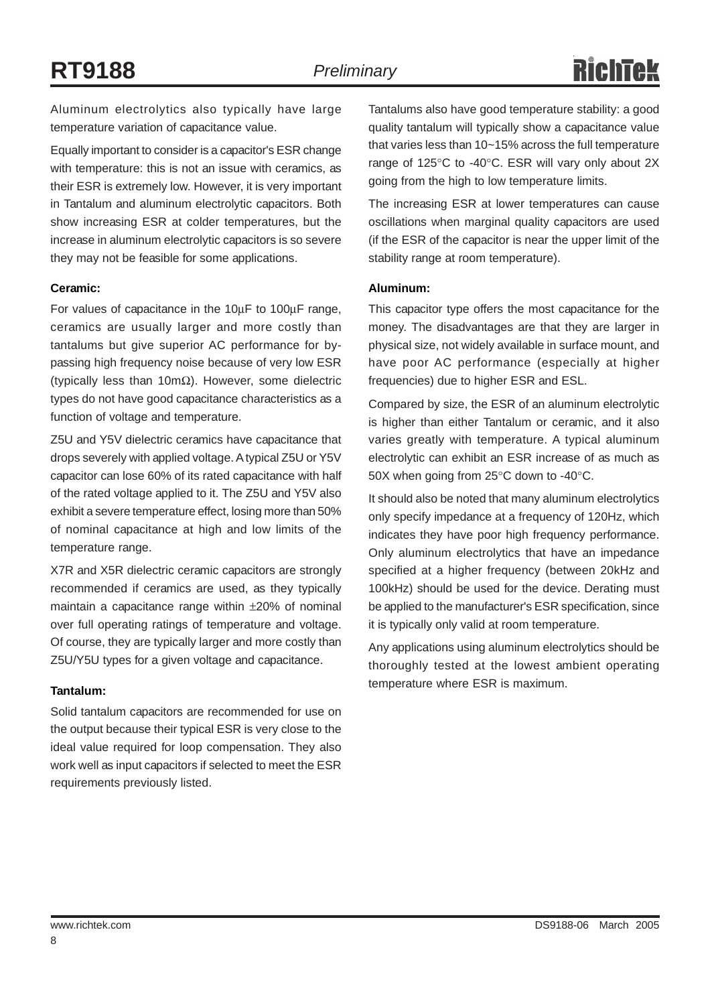Aluminum electrolytics also typically have large temperature variation of capacitance value.

Equally important to consider is a capacitor's ESR change with temperature: this is not an issue with ceramics, as their ESR is extremely low. However, it is very important in Tantalum and aluminum electrolytic capacitors. Both show increasing ESR at colder temperatures, but the increase in aluminum electrolytic capacitors is so severe they may not be feasible for some applications.

#### **Ceramic:**

For values of capacitance in the 10µF to 100µF range, ceramics are usually larger and more costly than tantalums but give superior AC performance for bypassing high frequency noise because of very low ESR (typically less than 10mΩ). However, some dielectric types do not have good capacitance characteristics as a function of voltage and temperature.

Z5U and Y5V dielectric ceramics have capacitance that drops severely with applied voltage. A typical Z5U or Y5V capacitor can lose 60% of its rated capacitance with half of the rated voltage applied to it. The Z5U and Y5V also exhibit a severe temperature effect, losing more than 50% of nominal capacitance at high and low limits of the temperature range.

X7R and X5R dielectric ceramic capacitors are strongly recommended if ceramics are used, as they typically maintain a capacitance range within ±20% of nominal over full operating ratings of temperature and voltage. Of course, they are typically larger and more costly than Z5U/Y5U types for a given voltage and capacitance.

#### **Tantalum:**

Solid tantalum capacitors are recommended for use on the output because their typical ESR is very close to the ideal value required for loop compensation. They also work well as input capacitors if selected to meet the ESR requirements previously listed.

Tantalums also have good temperature stability: a good quality tantalum will typically show a capacitance value that varies less than 10~15% across the full temperature range of 125°C to -40°C. ESR will vary only about 2X going from the high to low temperature limits.

The increasing ESR at lower temperatures can cause oscillations when marginal quality capacitors are used (if the ESR of the capacitor is near the upper limit of the stability range at room temperature).

#### **Aluminum:**

This capacitor type offers the most capacitance for the money. The disadvantages are that they are larger in physical size, not widely available in surface mount, and have poor AC performance (especially at higher frequencies) due to higher ESR and ESL.

Compared by size, the ESR of an aluminum electrolytic is higher than either Tantalum or ceramic, and it also varies greatly with temperature. A typical aluminum electrolytic can exhibit an ESR increase of as much as 50X when going from 25°C down to -40°C.

It should also be noted that many aluminum electrolytics only specify impedance at a frequency of 120Hz, which indicates they have poor high frequency performance. Only aluminum electrolytics that have an impedance specified at a higher frequency (between 20kHz and 100kHz) should be used for the device. Derating must be applied to the manufacturer's ESR specification, since it is typically only valid at room temperature.

Any applications using aluminum electrolytics should be thoroughly tested at the lowest ambient operating temperature where ESR is maximum.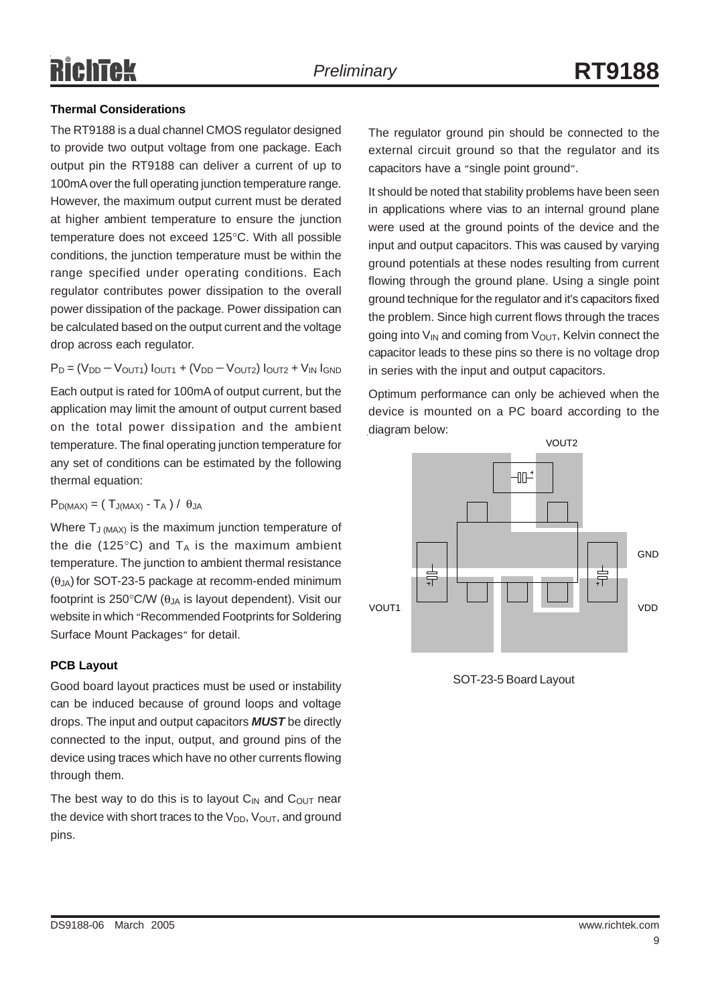#### **Thermal Considerations**

The RT9188 is a dual channel CMOS regulator designed to provide two output voltage from one package. Each output pin the RT9188 can deliver a current of up to 100mA over the full operating junction temperature range. However, the maximum output current must be derated at higher ambient temperature to ensure the junction temperature does not exceed 125°C. With all possible conditions, the junction temperature must be within the range specified under operating conditions. Each regulator contributes power dissipation to the overall power dissipation of the package. Power dissipation can be calculated based on the output current and the voltage drop across each regulator.

 $P_D = (V_{DD} - V_{OUT1}) I_{OUT1} + (V_{DD} - V_{OUT2}) I_{OUT2} + V_{IN} I_{GND})$ 

Each output is rated for 100mA of output current, but the application may limit the amount of output current based on the total power dissipation and the ambient temperature. The final operating junction temperature for any set of conditions can be estimated by the following thermal equation:

 $P_{D(MAX)} = (T_{J(MAX)} - T_A) / \theta_{JA}$ 

Where  $T_{J (MAX)}$  is the maximum junction temperature of the die (125 $\degree$ C) and T<sub>A</sub> is the maximum ambient temperature. The junction to ambient thermal resistance  $(\theta_{JA})$  for SOT-23-5 package at recomm-ended minimum footprint is 250 $\degree$ C/W ( $\theta_{JA}$  is layout dependent). Visit our website in which "Recommended Footprints for Soldering Surface Mount Packages" for detail.

#### **PCB Layout**

Good board layout practices must be used or instability can be induced because of ground loops and voltage drops. The input and output capacitors *MUST* be directly connected to the input, output, and ground pins of the device using traces which have no other currents flowing through them.

The best way to do this is to layout  $C_{IN}$  and  $C_{OUT}$  near the device with short traces to the  $V_{DD}$ ,  $V_{OUT}$ , and ground pins.

The regulator ground pin should be connected to the external circuit ground so that the regulator and its capacitors have a "single point ground".

It should be noted that stability problems have been seen in applications where vias to an internal ground plane were used at the ground points of the device and the input and output capacitors. This was caused by varying ground potentials at these nodes resulting from current flowing through the ground plane. Using a single point ground technique for the regulator and it's capacitors fixed the problem. Since high current flows through the traces going into  $V_{IN}$  and coming from  $V_{OUT}$ , Kelvin connect the capacitor leads to these pins so there is no voltage drop in series with the input and output capacitors.

Optimum performance can only be achieved when the device is mounted on a PC board according to the diagram below:



SOT-23-5 Board Layout